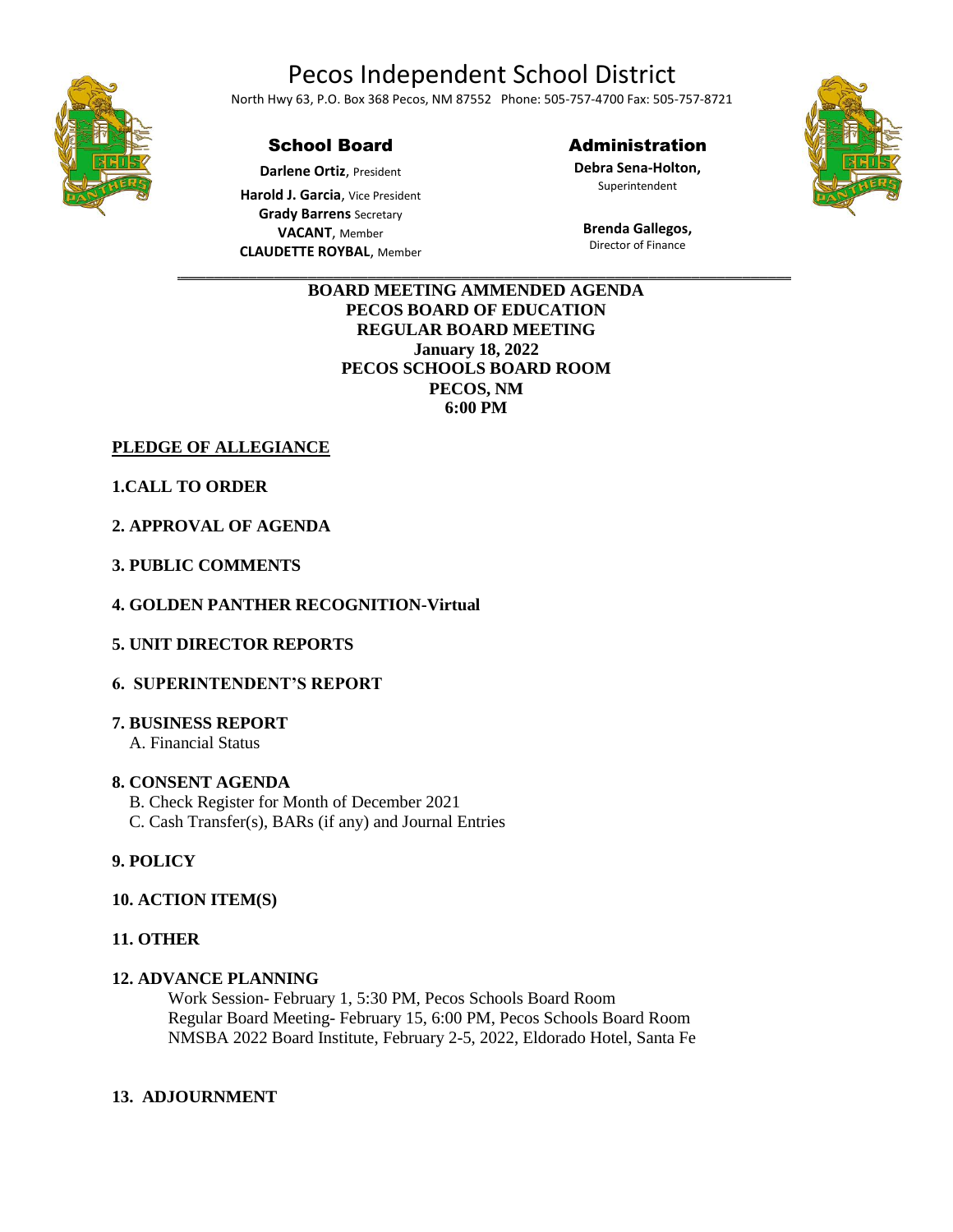# Pecos Independent School District



North Hwy 63, P.O. Box 368 Pecos, NM 87552 Phone: 505-757-4700 Fax: 505-757-8721

#### School Board

**Darlene Ortiz**, President

**Harold J. Garcia**, Vice President **Grady Barrens** Secretary **VACANT**, Member **CLAUDETTE ROYBAL**, Member

#### Administration

**Debra Sena-Holton,** Superintendent

**Brenda Gallegos,** Director of Finance



 $\overline{\phantom{a}}$  ,  $\overline{\phantom{a}}$  ,  $\overline{\phantom{a}}$  ,  $\overline{\phantom{a}}$  ,  $\overline{\phantom{a}}$  ,  $\overline{\phantom{a}}$  ,  $\overline{\phantom{a}}$  ,  $\overline{\phantom{a}}$  ,  $\overline{\phantom{a}}$  ,  $\overline{\phantom{a}}$  ,  $\overline{\phantom{a}}$  ,  $\overline{\phantom{a}}$  ,  $\overline{\phantom{a}}$  ,  $\overline{\phantom{a}}$  ,  $\overline{\phantom{a}}$  ,  $\overline{\phantom{a}}$ **BOARD MEETING AMMENDED AGENDA PECOS BOARD OF EDUCATION REGULAR BOARD MEETING January 18, 2022 PECOS SCHOOLS BOARD ROOM PECOS, NM 6:00 PM**

**PLEDGE OF ALLEGIANCE**

**1.CALL TO ORDER**

**2. APPROVAL OF AGENDA**

**3. PUBLIC COMMENTS**

**4. GOLDEN PANTHER RECOGNITION-Virtual**

**5. UNIT DIRECTOR REPORTS**

### **6. SUPERINTENDENT'S REPORT**

#### **7. BUSINESS REPORT**

A. Financial Status

#### **8. CONSENT AGENDA**

B. Check Register for Month of December 2021

C. Cash Transfer(s), BARs (if any) and Journal Entries

### **9. POLICY**

#### **10. ACTION ITEM(S)**

#### **11. OTHER**

#### **12. ADVANCE PLANNING**

Work Session- February 1, 5:30 PM, Pecos Schools Board Room Regular Board Meeting- February 15, 6:00 PM, Pecos Schools Board Room NMSBA 2022 Board Institute, February 2-5, 2022, Eldorado Hotel, Santa Fe

#### **13. ADJOURNMENT**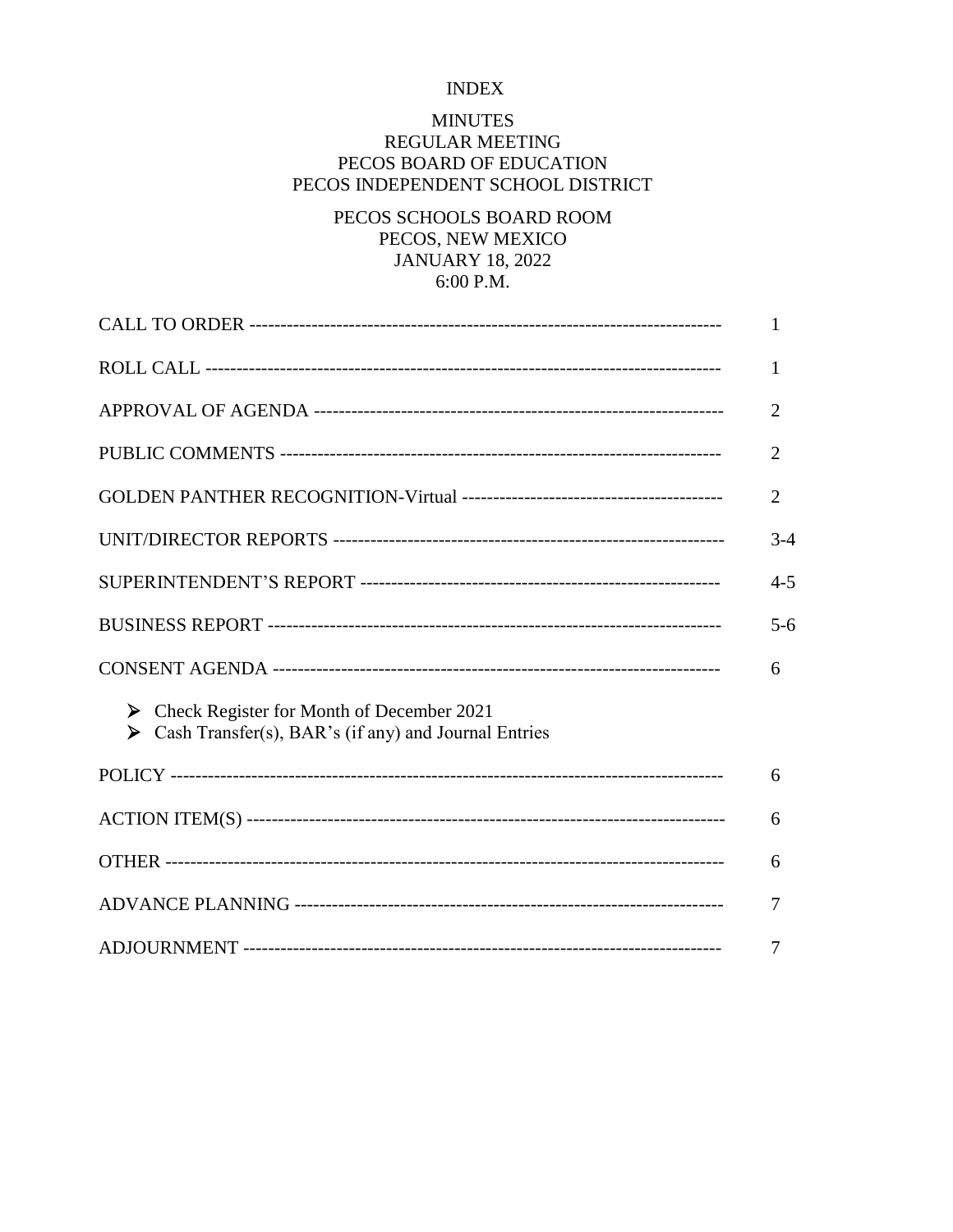### **INDEX**

### **MINUTES**

# REGULAR MEETING PECOS BOARD OF EDUCATION PECOS INDEPENDENT SCHOOL DISTRICT

# PECOS SCHOOLS BOARD ROOM PECOS, NEW MEXICO **JANUARY 18, 2022** 6:00 P.M.

|                                                                                                             | 1              |
|-------------------------------------------------------------------------------------------------------------|----------------|
|                                                                                                             | 1              |
|                                                                                                             | $\overline{2}$ |
|                                                                                                             | $\overline{2}$ |
|                                                                                                             | $\overline{2}$ |
|                                                                                                             | $3-4$          |
|                                                                                                             | $4 - 5$        |
|                                                                                                             | $5 - 6$        |
|                                                                                                             | 6              |
| Check Register for Month of December 2021<br>➤<br>Cash Transfer(s), BAR's (if any) and Journal Entries<br>➤ |                |
|                                                                                                             | 6              |
|                                                                                                             | 6              |
|                                                                                                             | 6              |
|                                                                                                             | 7              |
|                                                                                                             | 7              |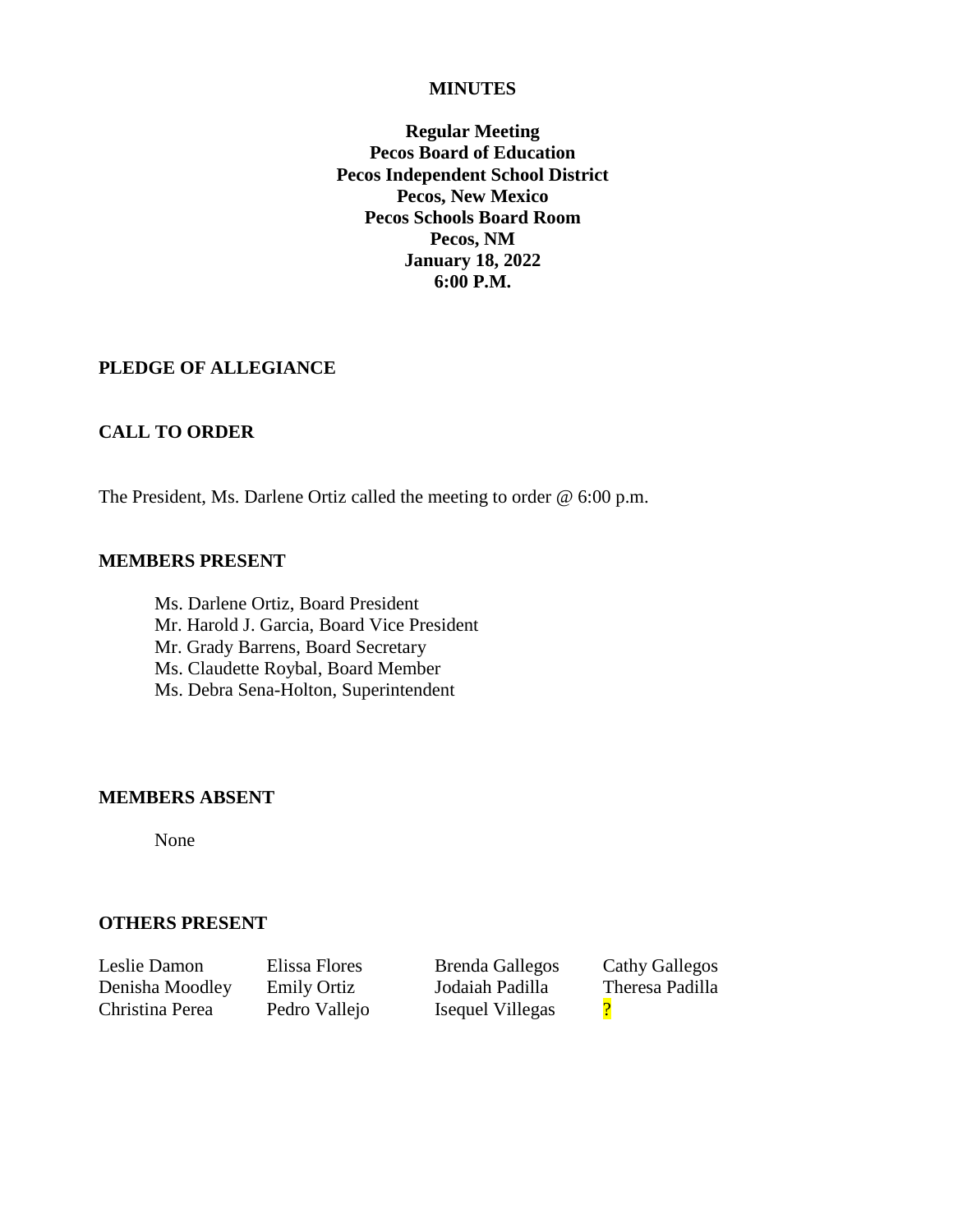#### **MINUTES**

**Regular Meeting Pecos Board of Education Pecos Independent School District Pecos, New Mexico Pecos Schools Board Room Pecos, NM January 18, 2022 6:00 P.M.**

### **PLEDGE OF ALLEGIANCE**

### **CALL TO ORDER**

The President, Ms. Darlene Ortiz called the meeting to order @ 6:00 p.m.

#### **MEMBERS PRESENT**

Ms. Darlene Ortiz, Board President Mr. Harold J. Garcia, Board Vice President Mr. Grady Barrens, Board Secretary Ms. Claudette Roybal, Board Member Ms. Debra Sena-Holton, Superintendent

#### **MEMBERS ABSENT**

None

### **OTHERS PRESENT**

Leslie Damon Elissa Flores Brenda Gallegos Cathy Gallegos Denisha Moodley Emily Ortiz Jodaiah Padilla Theresa Padilla Christina Perea Pedro Vallejo Isequel Villegas ?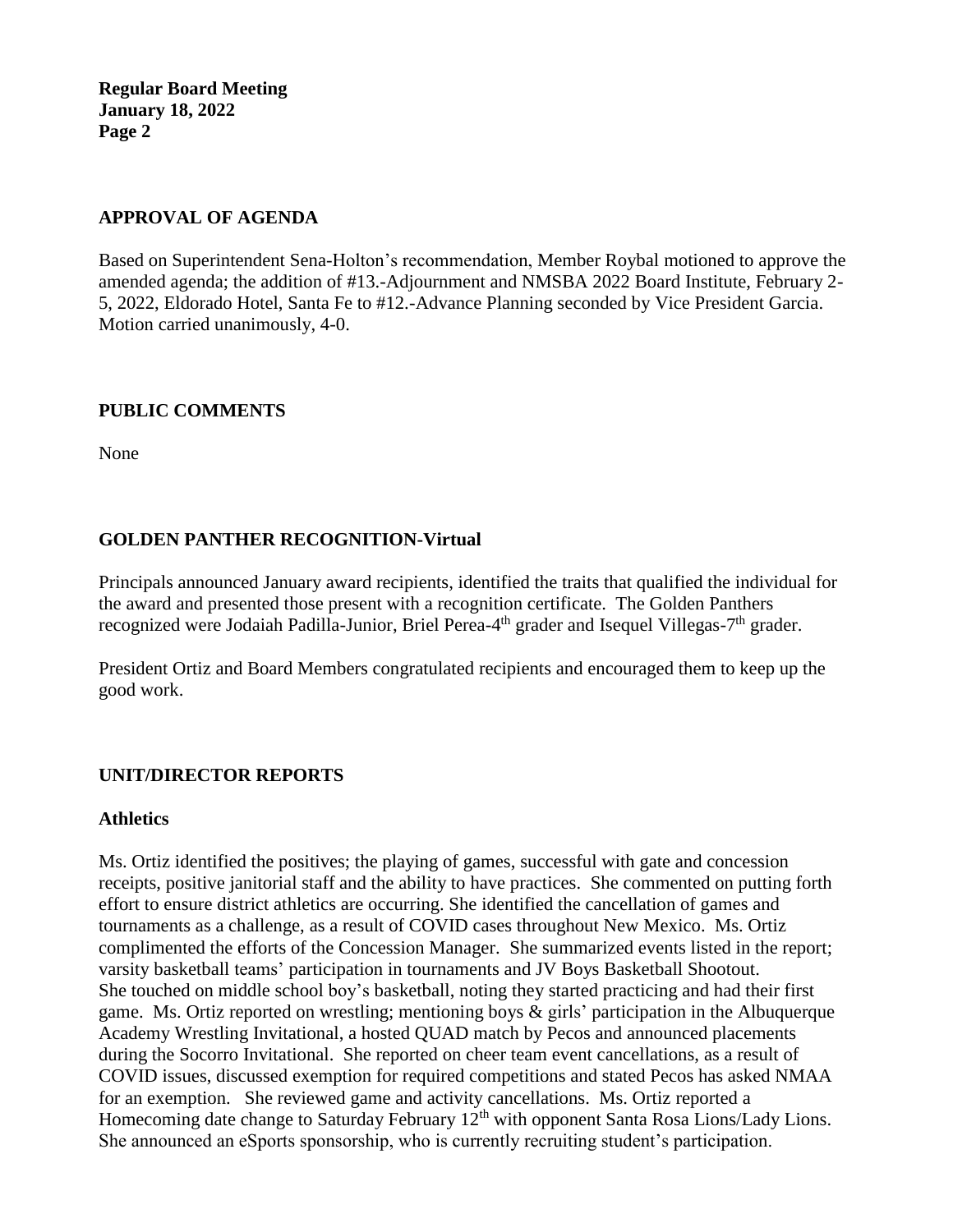# **APPROVAL OF AGENDA**

Based on Superintendent Sena-Holton's recommendation, Member Roybal motioned to approve the amended agenda; the addition of #13.-Adjournment and NMSBA 2022 Board Institute, February 2- 5, 2022, Eldorado Hotel, Santa Fe to #12.-Advance Planning seconded by Vice President Garcia. Motion carried unanimously, 4-0.

# **PUBLIC COMMENTS**

None

# **GOLDEN PANTHER RECOGNITION-Virtual**

Principals announced January award recipients, identified the traits that qualified the individual for the award and presented those present with a recognition certificate. The Golden Panthers recognized were Jodaiah Padilla-Junior, Briel Perea-4<sup>th</sup> grader and Isequel Villegas-7<sup>th</sup> grader.

President Ortiz and Board Members congratulated recipients and encouraged them to keep up the good work.

# **UNIT/DIRECTOR REPORTS**

### **Athletics**

Ms. Ortiz identified the positives; the playing of games, successful with gate and concession receipts, positive janitorial staff and the ability to have practices. She commented on putting forth effort to ensure district athletics are occurring. She identified the cancellation of games and tournaments as a challenge, as a result of COVID cases throughout New Mexico. Ms. Ortiz complimented the efforts of the Concession Manager. She summarized events listed in the report; varsity basketball teams' participation in tournaments and JV Boys Basketball Shootout. She touched on middle school boy's basketball, noting they started practicing and had their first game. Ms. Ortiz reported on wrestling; mentioning boys & girls' participation in the Albuquerque Academy Wrestling Invitational, a hosted QUAD match by Pecos and announced placements during the Socorro Invitational. She reported on cheer team event cancellations, as a result of COVID issues, discussed exemption for required competitions and stated Pecos has asked NMAA for an exemption. She reviewed game and activity cancellations. Ms. Ortiz reported a Homecoming date change to Saturday February  $12<sup>th</sup>$  with opponent Santa Rosa Lions/Lady Lions. She announced an eSports sponsorship, who is currently recruiting student's participation.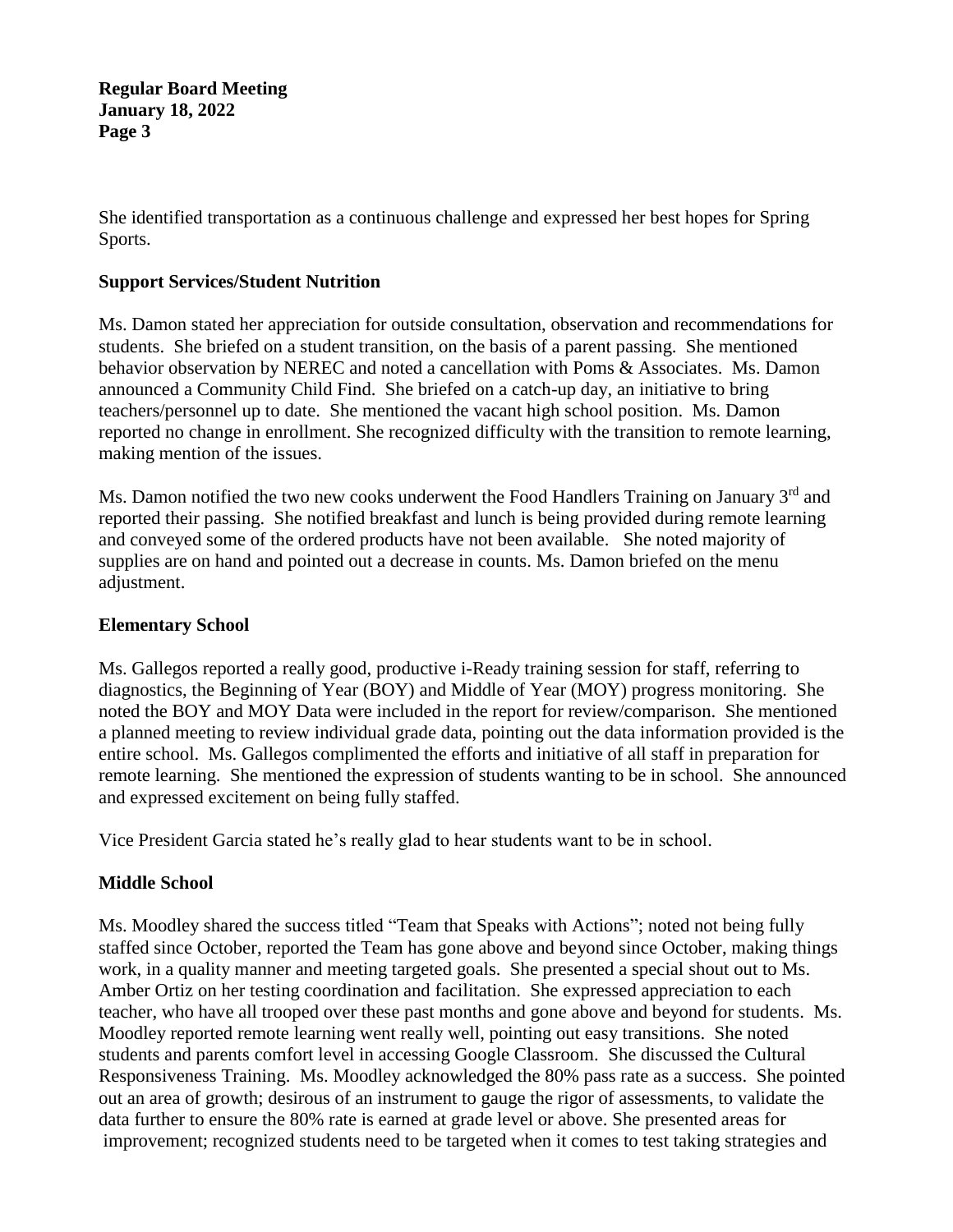She identified transportation as a continuous challenge and expressed her best hopes for Spring Sports.

### **Support Services/Student Nutrition**

Ms. Damon stated her appreciation for outside consultation, observation and recommendations for students. She briefed on a student transition, on the basis of a parent passing. She mentioned behavior observation by NEREC and noted a cancellation with Poms & Associates. Ms. Damon announced a Community Child Find. She briefed on a catch-up day, an initiative to bring teachers/personnel up to date. She mentioned the vacant high school position. Ms. Damon reported no change in enrollment. She recognized difficulty with the transition to remote learning, making mention of the issues.

Ms. Damon notified the two new cooks underwent the Food Handlers Training on January 3<sup>rd</sup> and reported their passing. She notified breakfast and lunch is being provided during remote learning and conveyed some of the ordered products have not been available. She noted majority of supplies are on hand and pointed out a decrease in counts. Ms. Damon briefed on the menu adjustment.

### **Elementary School**

Ms. Gallegos reported a really good, productive i-Ready training session for staff, referring to diagnostics, the Beginning of Year (BOY) and Middle of Year (MOY) progress monitoring. She noted the BOY and MOY Data were included in the report for review/comparison. She mentioned a planned meeting to review individual grade data, pointing out the data information provided is the entire school. Ms. Gallegos complimented the efforts and initiative of all staff in preparation for remote learning. She mentioned the expression of students wanting to be in school. She announced and expressed excitement on being fully staffed.

Vice President Garcia stated he's really glad to hear students want to be in school.

# **Middle School**

Ms. Moodley shared the success titled "Team that Speaks with Actions"; noted not being fully staffed since October, reported the Team has gone above and beyond since October, making things work, in a quality manner and meeting targeted goals. She presented a special shout out to Ms. Amber Ortiz on her testing coordination and facilitation. She expressed appreciation to each teacher, who have all trooped over these past months and gone above and beyond for students. Ms. Moodley reported remote learning went really well, pointing out easy transitions. She noted students and parents comfort level in accessing Google Classroom. She discussed the Cultural Responsiveness Training. Ms. Moodley acknowledged the 80% pass rate as a success. She pointed out an area of growth; desirous of an instrument to gauge the rigor of assessments, to validate the data further to ensure the 80% rate is earned at grade level or above. She presented areas for improvement; recognized students need to be targeted when it comes to test taking strategies and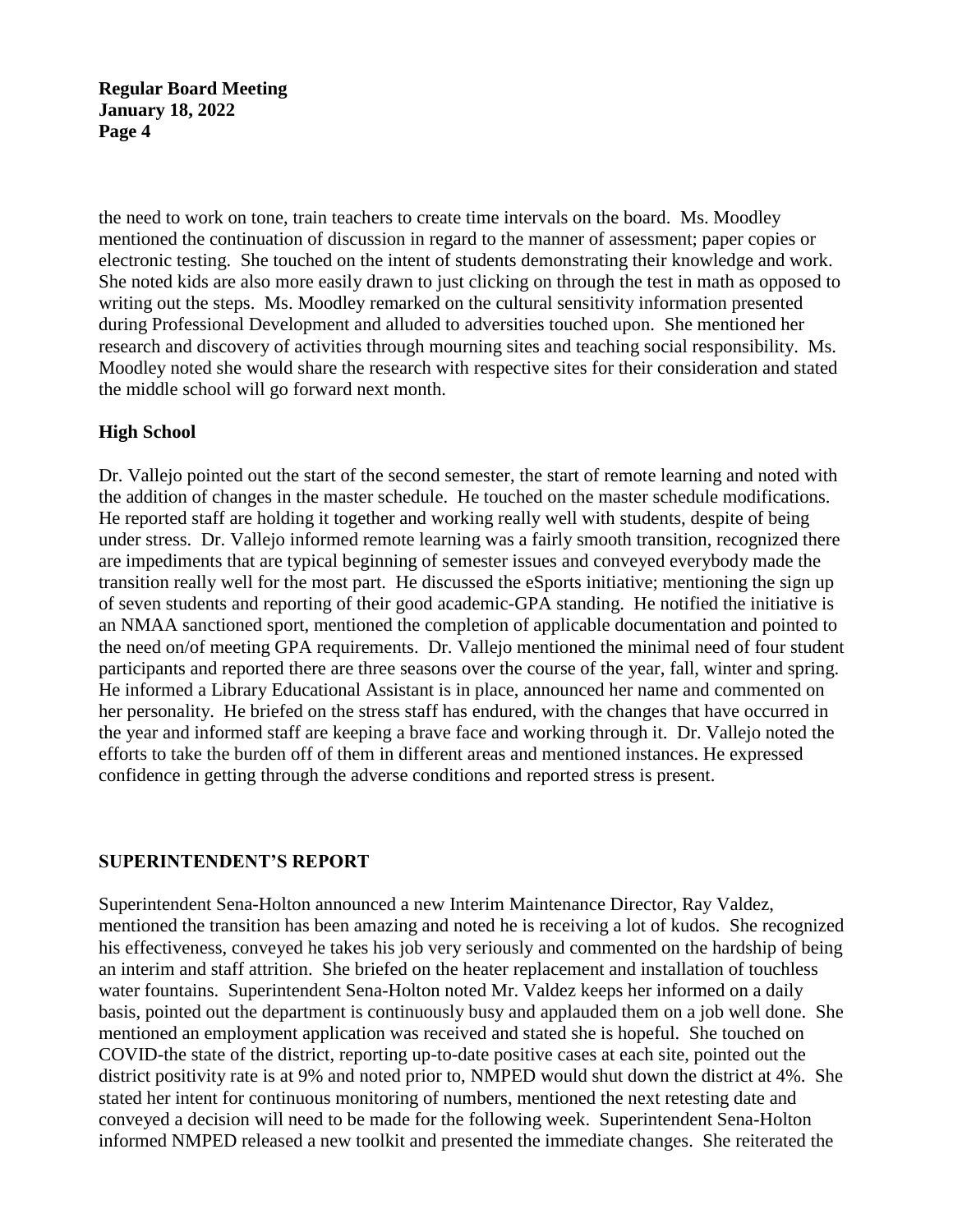the need to work on tone, train teachers to create time intervals on the board. Ms. Moodley mentioned the continuation of discussion in regard to the manner of assessment; paper copies or electronic testing. She touched on the intent of students demonstrating their knowledge and work. She noted kids are also more easily drawn to just clicking on through the test in math as opposed to writing out the steps. Ms. Moodley remarked on the cultural sensitivity information presented during Professional Development and alluded to adversities touched upon. She mentioned her research and discovery of activities through mourning sites and teaching social responsibility. Ms. Moodley noted she would share the research with respective sites for their consideration and stated the middle school will go forward next month.

# **High School**

Dr. Vallejo pointed out the start of the second semester, the start of remote learning and noted with the addition of changes in the master schedule. He touched on the master schedule modifications. He reported staff are holding it together and working really well with students, despite of being under stress. Dr. Vallejo informed remote learning was a fairly smooth transition, recognized there are impediments that are typical beginning of semester issues and conveyed everybody made the transition really well for the most part. He discussed the eSports initiative; mentioning the sign up of seven students and reporting of their good academic-GPA standing. He notified the initiative is an NMAA sanctioned sport, mentioned the completion of applicable documentation and pointed to the need on/of meeting GPA requirements. Dr. Vallejo mentioned the minimal need of four student participants and reported there are three seasons over the course of the year, fall, winter and spring. He informed a Library Educational Assistant is in place, announced her name and commented on her personality. He briefed on the stress staff has endured, with the changes that have occurred in the year and informed staff are keeping a brave face and working through it. Dr. Vallejo noted the efforts to take the burden off of them in different areas and mentioned instances. He expressed confidence in getting through the adverse conditions and reported stress is present.

# **SUPERINTENDENT'S REPORT**

Superintendent Sena-Holton announced a new Interim Maintenance Director, Ray Valdez, mentioned the transition has been amazing and noted he is receiving a lot of kudos. She recognized his effectiveness, conveyed he takes his job very seriously and commented on the hardship of being an interim and staff attrition. She briefed on the heater replacement and installation of touchless water fountains. Superintendent Sena-Holton noted Mr. Valdez keeps her informed on a daily basis, pointed out the department is continuously busy and applauded them on a job well done. She mentioned an employment application was received and stated she is hopeful. She touched on COVID-the state of the district, reporting up-to-date positive cases at each site, pointed out the district positivity rate is at 9% and noted prior to, NMPED would shut down the district at 4%. She stated her intent for continuous monitoring of numbers, mentioned the next retesting date and conveyed a decision will need to be made for the following week. Superintendent Sena-Holton informed NMPED released a new toolkit and presented the immediate changes. She reiterated the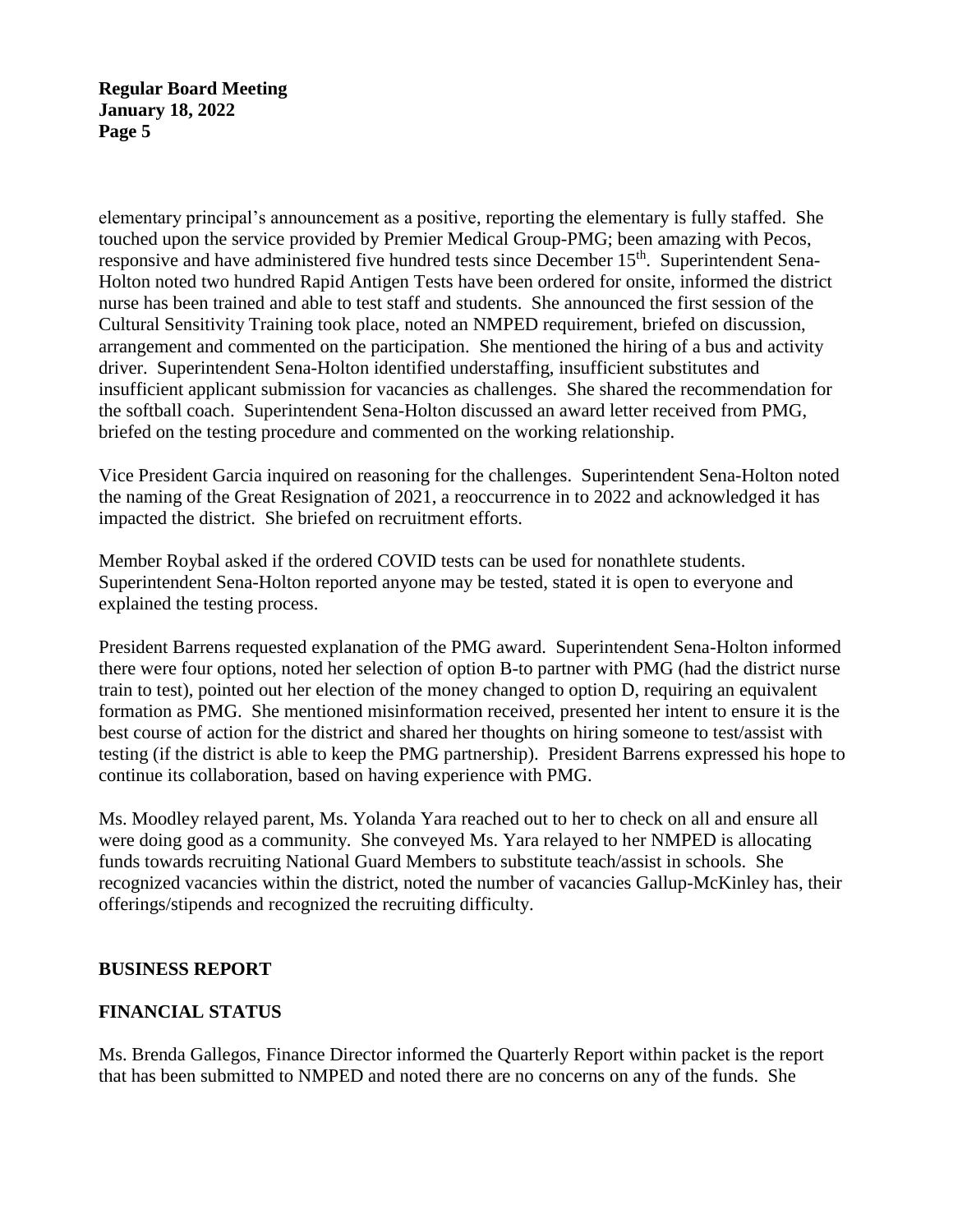elementary principal's announcement as a positive, reporting the elementary is fully staffed. She touched upon the service provided by Premier Medical Group-PMG; been amazing with Pecos, responsive and have administered five hundred tests since December 15<sup>th</sup>. Superintendent Sena-Holton noted two hundred Rapid Antigen Tests have been ordered for onsite, informed the district nurse has been trained and able to test staff and students. She announced the first session of the Cultural Sensitivity Training took place, noted an NMPED requirement, briefed on discussion, arrangement and commented on the participation. She mentioned the hiring of a bus and activity driver. Superintendent Sena-Holton identified understaffing, insufficient substitutes and insufficient applicant submission for vacancies as challenges. She shared the recommendation for the softball coach. Superintendent Sena-Holton discussed an award letter received from PMG, briefed on the testing procedure and commented on the working relationship.

Vice President Garcia inquired on reasoning for the challenges. Superintendent Sena-Holton noted the naming of the Great Resignation of 2021, a reoccurrence in to 2022 and acknowledged it has impacted the district. She briefed on recruitment efforts.

Member Roybal asked if the ordered COVID tests can be used for nonathlete students. Superintendent Sena-Holton reported anyone may be tested, stated it is open to everyone and explained the testing process.

President Barrens requested explanation of the PMG award. Superintendent Sena-Holton informed there were four options, noted her selection of option B-to partner with PMG (had the district nurse train to test), pointed out her election of the money changed to option D, requiring an equivalent formation as PMG. She mentioned misinformation received, presented her intent to ensure it is the best course of action for the district and shared her thoughts on hiring someone to test/assist with testing (if the district is able to keep the PMG partnership). President Barrens expressed his hope to continue its collaboration, based on having experience with PMG.

Ms. Moodley relayed parent, Ms. Yolanda Yara reached out to her to check on all and ensure all were doing good as a community. She conveyed Ms. Yara relayed to her NMPED is allocating funds towards recruiting National Guard Members to substitute teach/assist in schools. She recognized vacancies within the district, noted the number of vacancies Gallup-McKinley has, their offerings/stipends and recognized the recruiting difficulty.

# **BUSINESS REPORT**

# **FINANCIAL STATUS**

Ms. Brenda Gallegos, Finance Director informed the Quarterly Report within packet is the report that has been submitted to NMPED and noted there are no concerns on any of the funds. She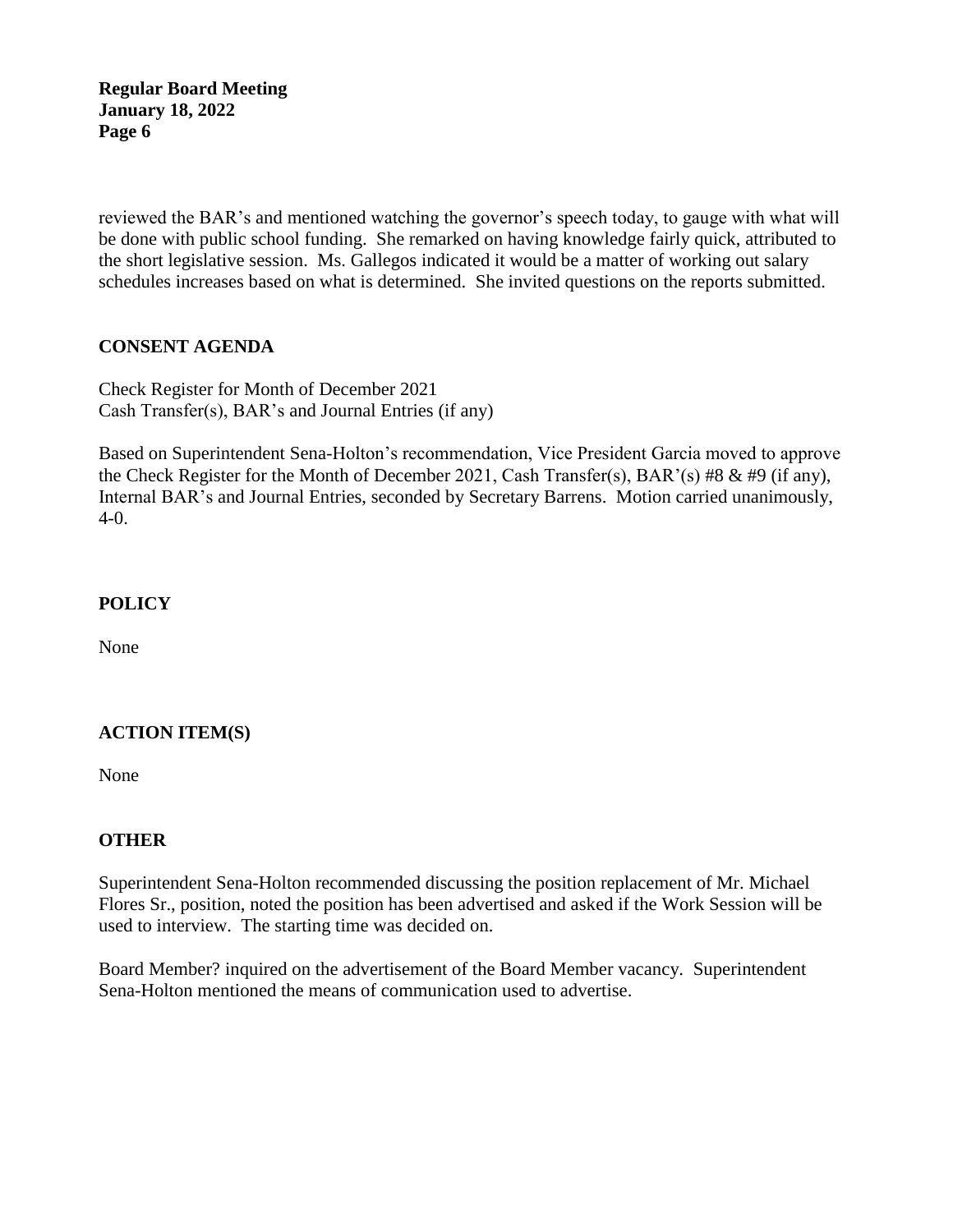reviewed the BAR's and mentioned watching the governor's speech today, to gauge with what will be done with public school funding. She remarked on having knowledge fairly quick, attributed to the short legislative session. Ms. Gallegos indicated it would be a matter of working out salary schedules increases based on what is determined. She invited questions on the reports submitted.

# **CONSENT AGENDA**

Check Register for Month of December 2021 Cash Transfer(s), BAR's and Journal Entries (if any)

Based on Superintendent Sena-Holton's recommendation, Vice President Garcia moved to approve the Check Register for the Month of December 2021, Cash Transfer(s), BAR'(s) #8 & #9 (if any), Internal BAR's and Journal Entries, seconded by Secretary Barrens. Motion carried unanimously, 4-0.

### **POLICY**

None

# **ACTION ITEM(S)**

None

# **OTHER**

Superintendent Sena-Holton recommended discussing the position replacement of Mr. Michael Flores Sr., position, noted the position has been advertised and asked if the Work Session will be used to interview. The starting time was decided on.

Board Member? inquired on the advertisement of the Board Member vacancy. Superintendent Sena-Holton mentioned the means of communication used to advertise.